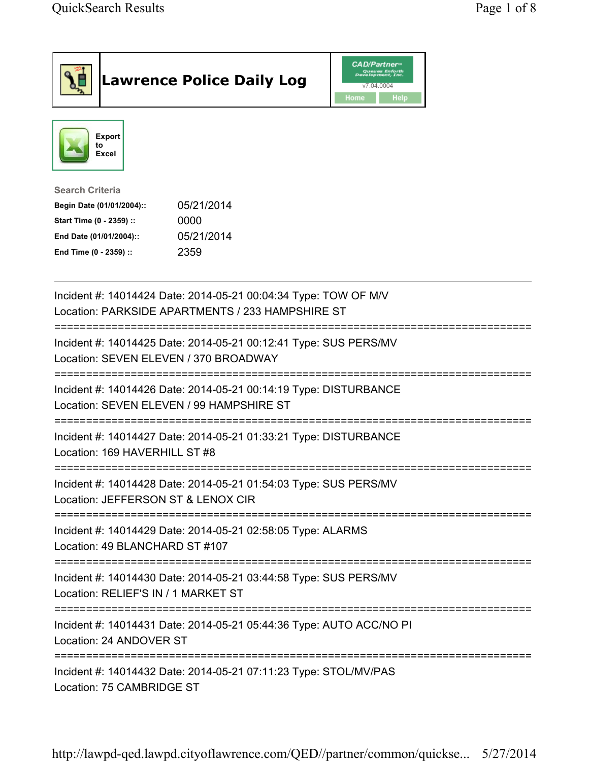|                                                                                                                                      | <b>Lawrence Police Daily Log</b>                                                                                                                             | <b>CAD/Partner</b> "<br>Queues Enforth<br>Development, Inc.<br>v7.04.0004<br>Home<br>Help |  |
|--------------------------------------------------------------------------------------------------------------------------------------|--------------------------------------------------------------------------------------------------------------------------------------------------------------|-------------------------------------------------------------------------------------------|--|
| <b>Export</b><br>to<br>Excel                                                                                                         |                                                                                                                                                              |                                                                                           |  |
| <b>Search Criteria</b><br>Begin Date (01/01/2004)::<br>Start Time (0 - 2359) ::<br>End Date (01/01/2004)::<br>End Time (0 - 2359) :: | 05/21/2014<br>0000<br>05/21/2014<br>2359                                                                                                                     |                                                                                           |  |
|                                                                                                                                      | Incident #: 14014424 Date: 2014-05-21 00:04:34 Type: TOW OF M/V<br>Location: PARKSIDE APARTMENTS / 233 HAMPSHIRE ST<br>===================================== |                                                                                           |  |
| Location: SEVEN ELEVEN / 370 BROADWAY                                                                                                | Incident #: 14014425 Date: 2014-05-21 00:12:41 Type: SUS PERS/MV                                                                                             |                                                                                           |  |
|                                                                                                                                      | Incident #: 14014426 Date: 2014-05-21 00:14:19 Type: DISTURBANCE<br>Location: SEVEN ELEVEN / 99 HAMPSHIRE ST                                                 |                                                                                           |  |
| Incident #: 14014427 Date: 2014-05-21 01:33:21 Type: DISTURBANCE<br>Location: 169 HAVERHILL ST #8                                    |                                                                                                                                                              |                                                                                           |  |
| Location: JEFFERSON ST & LENOX CIR                                                                                                   | Incident #: 14014428 Date: 2014-05-21 01:54:03 Type: SUS PERS/MV                                                                                             |                                                                                           |  |
| .-----------------------------------<br>Location: 49 BLANCHARD ST #107                                                               | Incident #: 14014429 Date: 2014-05-21 02:58:05 Type: ALARMS                                                                                                  |                                                                                           |  |
| Location: RELIEF'S IN / 1 MARKET ST                                                                                                  | Incident #: 14014430 Date: 2014-05-21 03:44:58 Type: SUS PERS/MV                                                                                             |                                                                                           |  |
| Incident #: 14014431 Date: 2014-05-21 05:44:36 Type: AUTO ACC/NO PI<br>Location: 24 ANDOVER ST                                       |                                                                                                                                                              |                                                                                           |  |
| ==============================<br>Location: 75 CAMBRIDGE ST                                                                          | Incident #: 14014432 Date: 2014-05-21 07:11:23 Type: STOL/MV/PAS                                                                                             |                                                                                           |  |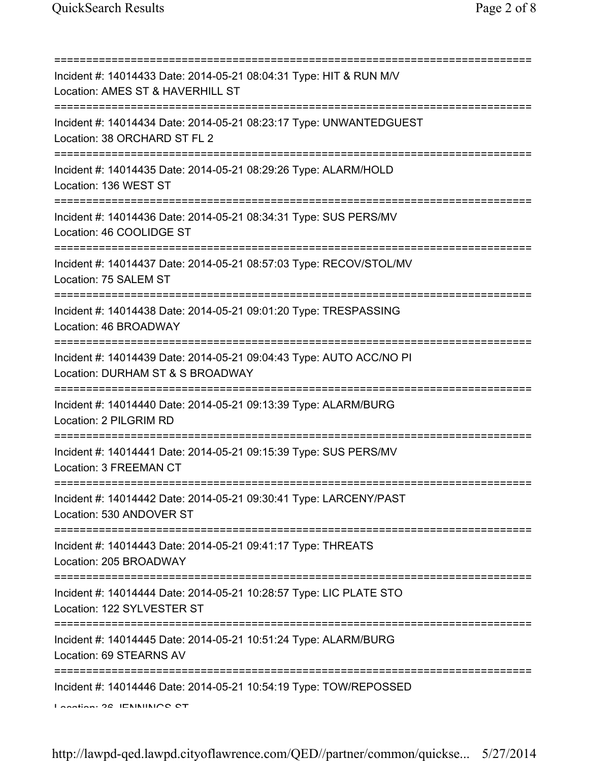=========================================================================== Incident #: 14014433 Date: 2014-05-21 08:04:31 Type: HIT & RUN M/V Location: AMES ST & HAVERHILL ST =========================================================================== Incident #: 14014434 Date: 2014-05-21 08:23:17 Type: UNWANTEDGUEST Location: 38 ORCHARD ST FL 2 =========================================================================== Incident #: 14014435 Date: 2014-05-21 08:29:26 Type: ALARM/HOLD Location: 136 WEST ST =========================================================================== Incident #: 14014436 Date: 2014-05-21 08:34:31 Type: SUS PERS/MV Location: 46 COOLIDGE ST =========================================================================== Incident #: 14014437 Date: 2014-05-21 08:57:03 Type: RECOV/STOL/MV Location: 75 SALEM ST =========================================================================== Incident #: 14014438 Date: 2014-05-21 09:01:20 Type: TRESPASSING Location: 46 BROADWAY =========================================================================== Incident #: 14014439 Date: 2014-05-21 09:04:43 Type: AUTO ACC/NO PI Location: DURHAM ST & S BROADWAY =========================================================================== Incident #: 14014440 Date: 2014-05-21 09:13:39 Type: ALARM/BURG Location: 2 PILGRIM RD =========================================================================== Incident #: 14014441 Date: 2014-05-21 09:15:39 Type: SUS PERS/MV Location: 3 FREEMAN CT =========================================================================== Incident #: 14014442 Date: 2014-05-21 09:30:41 Type: LARCENY/PAST Location: 530 ANDOVER ST =========================================================================== Incident #: 14014443 Date: 2014-05-21 09:41:17 Type: THREATS Location: 205 BROADWAY =========================================================================== Incident #: 14014444 Date: 2014-05-21 10:28:57 Type: LIC PLATE STO Location: 122 SYLVESTER ST =========================================================================== Incident #: 14014445 Date: 2014-05-21 10:51:24 Type: ALARM/BURG Location: 69 STEARNS AV =========================================================================== Incident #: 14014446 Date: 2014-05-21 10:54:19 Type: TOW/REPOSSED Location: 26 JENNINGS ST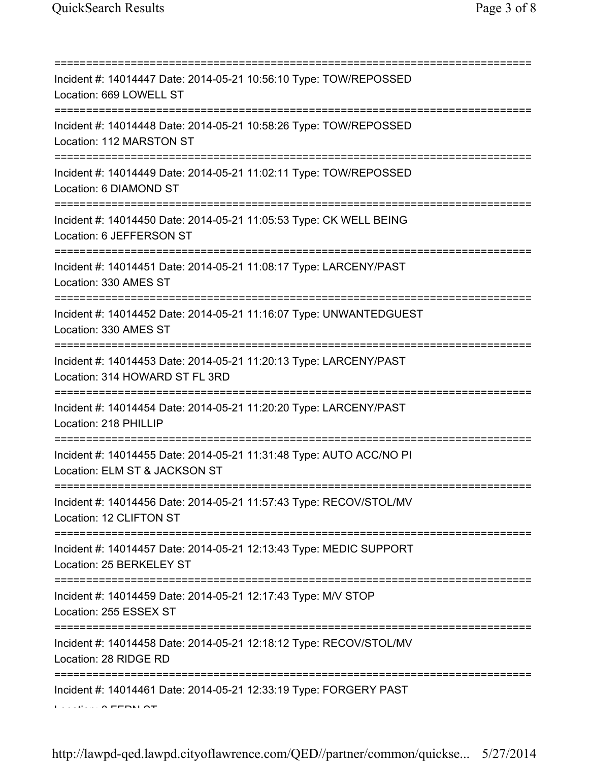| Incident #: 14014447 Date: 2014-05-21 10:56:10 Type: TOW/REPOSSED<br>Location: 669 LOWELL ST                                                              |
|-----------------------------------------------------------------------------------------------------------------------------------------------------------|
| Incident #: 14014448 Date: 2014-05-21 10:58:26 Type: TOW/REPOSSED<br>Location: 112 MARSTON ST                                                             |
| Incident #: 14014449 Date: 2014-05-21 11:02:11 Type: TOW/REPOSSED<br>Location: 6 DIAMOND ST                                                               |
| Incident #: 14014450 Date: 2014-05-21 11:05:53 Type: CK WELL BEING<br>Location: 6 JEFFERSON ST                                                            |
| Incident #: 14014451 Date: 2014-05-21 11:08:17 Type: LARCENY/PAST<br>Location: 330 AMES ST                                                                |
| ============================<br>Incident #: 14014452 Date: 2014-05-21 11:16:07 Type: UNWANTEDGUEST<br>Location: 330 AMES ST<br>-------------------------- |
| Incident #: 14014453 Date: 2014-05-21 11:20:13 Type: LARCENY/PAST<br>Location: 314 HOWARD ST FL 3RD                                                       |
| Incident #: 14014454 Date: 2014-05-21 11:20:20 Type: LARCENY/PAST<br>Location: 218 PHILLIP                                                                |
| ===============<br>Incident #: 14014455 Date: 2014-05-21 11:31:48 Type: AUTO ACC/NO PI<br>Location: ELM ST & JACKSON ST                                   |
| Incident #: 14014456 Date: 2014-05-21 11:57:43 Type: RECOV/STOL/MV<br>Location: 12 CLIFTON ST                                                             |
| Incident #: 14014457 Date: 2014-05-21 12:13:43 Type: MEDIC SUPPORT<br>Location: 25 BERKELEY ST                                                            |
| Incident #: 14014459 Date: 2014-05-21 12:17:43 Type: M/V STOP<br>Location: 255 ESSEX ST                                                                   |
| ;====================================<br>Incident #: 14014458 Date: 2014-05-21 12:18:12 Type: RECOV/STOL/MV<br>Location: 28 RIDGE RD                      |
| Incident #: 14014461 Date: 2014-05-21 12:33:19 Type: FORGERY PAST                                                                                         |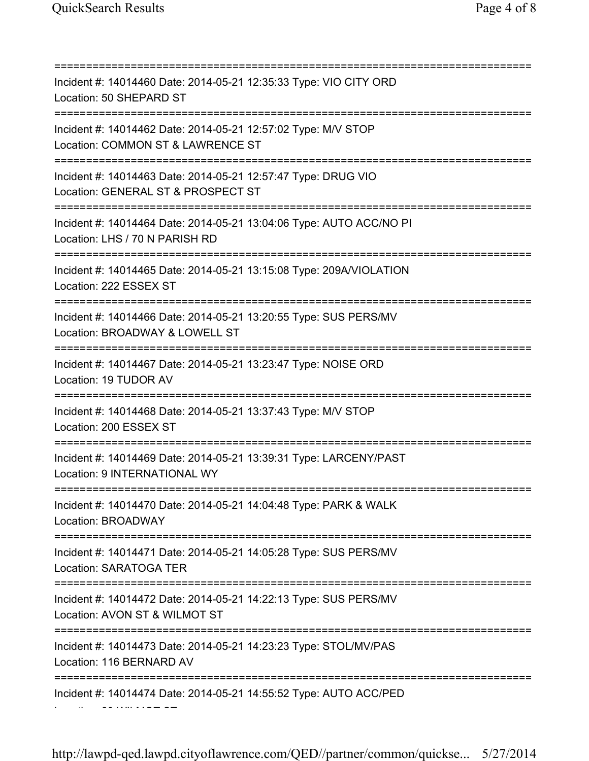=========================================================================== Incident #: 14014460 Date: 2014-05-21 12:35:33 Type: VIO CITY ORD Location: 50 SHEPARD ST =========================================================================== Incident #: 14014462 Date: 2014-05-21 12:57:02 Type: M/V STOP Location: COMMON ST & LAWRENCE ST =========================================================================== Incident #: 14014463 Date: 2014-05-21 12:57:47 Type: DRUG VIO Location: GENERAL ST & PROSPECT ST =========================================================================== Incident #: 14014464 Date: 2014-05-21 13:04:06 Type: AUTO ACC/NO PI Location: LHS / 70 N PARISH RD =========================================================================== Incident #: 14014465 Date: 2014-05-21 13:15:08 Type: 209A/VIOLATION Location: 222 ESSEX ST =========================================================================== Incident #: 14014466 Date: 2014-05-21 13:20:55 Type: SUS PERS/MV Location: BROADWAY & LOWELL ST =========================================================================== Incident #: 14014467 Date: 2014-05-21 13:23:47 Type: NOISE ORD Location: 19 TUDOR AV =========================================================================== Incident #: 14014468 Date: 2014-05-21 13:37:43 Type: M/V STOP Location: 200 ESSEX ST =========================================================================== Incident #: 14014469 Date: 2014-05-21 13:39:31 Type: LARCENY/PAST Location: 9 INTERNATIONAL WY =========================================================================== Incident #: 14014470 Date: 2014-05-21 14:04:48 Type: PARK & WALK Location: BROADWAY =========================================================================== Incident #: 14014471 Date: 2014-05-21 14:05:28 Type: SUS PERS/MV Location: SARATOGA TER =========================================================================== Incident #: 14014472 Date: 2014-05-21 14:22:13 Type: SUS PERS/MV Location: AVON ST & WILMOT ST =========================================================================== Incident #: 14014473 Date: 2014-05-21 14:23:23 Type: STOL/MV/PAS Location: 116 BERNARD AV =========================================================================== Incident #: 14014474 Date: 2014-05-21 14:55:52 Type: AUTO ACC/PED Location: 29 WILMOT ST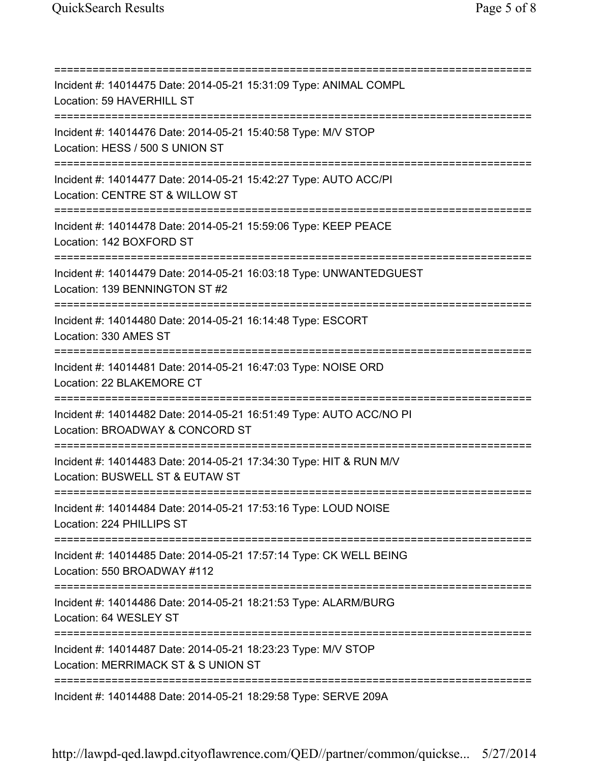=========================================================================== Incident #: 14014475 Date: 2014-05-21 15:31:09 Type: ANIMAL COMPL Location: 59 HAVERHILL ST =========================================================================== Incident #: 14014476 Date: 2014-05-21 15:40:58 Type: M/V STOP Location: HESS / 500 S UNION ST =========================================================================== Incident #: 14014477 Date: 2014-05-21 15:42:27 Type: AUTO ACC/PI Location: CENTRE ST & WILLOW ST =========================================================================== Incident #: 14014478 Date: 2014-05-21 15:59:06 Type: KEEP PEACE Location: 142 BOXFORD ST =========================================================================== Incident #: 14014479 Date: 2014-05-21 16:03:18 Type: UNWANTEDGUEST Location: 139 BENNINGTON ST #2 =========================================================================== Incident #: 14014480 Date: 2014-05-21 16:14:48 Type: ESCORT Location: 330 AMES ST =========================================================================== Incident #: 14014481 Date: 2014-05-21 16:47:03 Type: NOISE ORD Location: 22 BLAKEMORE CT =========================================================================== Incident #: 14014482 Date: 2014-05-21 16:51:49 Type: AUTO ACC/NO PI Location: BROADWAY & CONCORD ST =========================================================================== Incident #: 14014483 Date: 2014-05-21 17:34:30 Type: HIT & RUN M/V Location: BUSWELL ST & EUTAW ST =========================================================================== Incident #: 14014484 Date: 2014-05-21 17:53:16 Type: LOUD NOISE Location: 224 PHILLIPS ST =========================================================================== Incident #: 14014485 Date: 2014-05-21 17:57:14 Type: CK WELL BEING Location: 550 BROADWAY #112 =========================================================================== Incident #: 14014486 Date: 2014-05-21 18:21:53 Type: ALARM/BURG Location: 64 WESLEY ST =========================================================================== Incident #: 14014487 Date: 2014-05-21 18:23:23 Type: M/V STOP Location: MERRIMACK ST & S UNION ST =========================================================================== Incident #: 14014488 Date: 2014-05-21 18:29:58 Type: SERVE 209A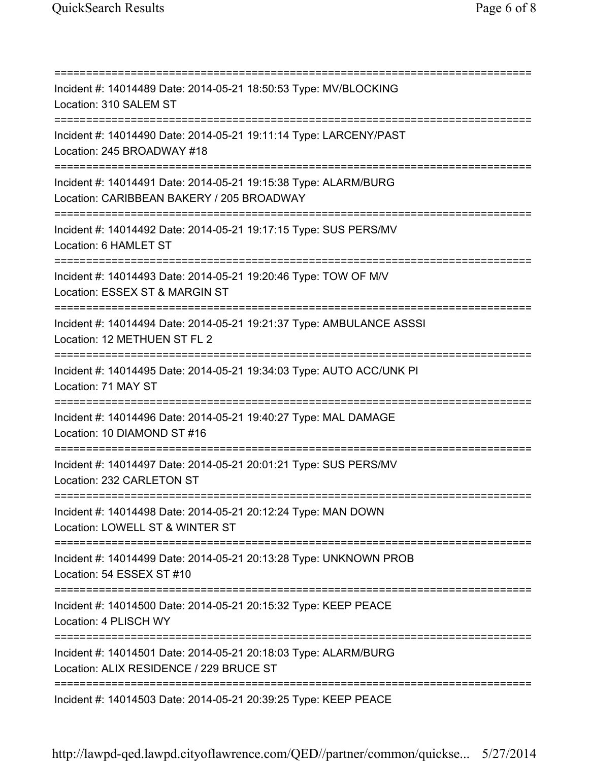=========================================================================== Incident #: 14014489 Date: 2014-05-21 18:50:53 Type: MV/BLOCKING Location: 310 SALEM ST =========================================================================== Incident #: 14014490 Date: 2014-05-21 19:11:14 Type: LARCENY/PAST Location: 245 BROADWAY #18 =========================================================================== Incident #: 14014491 Date: 2014-05-21 19:15:38 Type: ALARM/BURG Location: CARIBBEAN BAKERY / 205 BROADWAY =========================================================================== Incident #: 14014492 Date: 2014-05-21 19:17:15 Type: SUS PERS/MV Location: 6 HAMLET ST =========================================================================== Incident #: 14014493 Date: 2014-05-21 19:20:46 Type: TOW OF M/V Location: ESSEX ST & MARGIN ST =========================================================================== Incident #: 14014494 Date: 2014-05-21 19:21:37 Type: AMBULANCE ASSSI Location: 12 METHUEN ST FL 2 =========================================================================== Incident #: 14014495 Date: 2014-05-21 19:34:03 Type: AUTO ACC/UNK PI Location: 71 MAY ST =========================================================================== Incident #: 14014496 Date: 2014-05-21 19:40:27 Type: MAL DAMAGE Location: 10 DIAMOND ST #16 =========================================================================== Incident #: 14014497 Date: 2014-05-21 20:01:21 Type: SUS PERS/MV Location: 232 CARLETON ST =========================================================================== Incident #: 14014498 Date: 2014-05-21 20:12:24 Type: MAN DOWN Location: LOWELL ST & WINTER ST =========================================================================== Incident #: 14014499 Date: 2014-05-21 20:13:28 Type: UNKNOWN PROB Location: 54 ESSEX ST #10 =========================================================================== Incident #: 14014500 Date: 2014-05-21 20:15:32 Type: KEEP PEACE Location: 4 PLISCH WY =========================================================================== Incident #: 14014501 Date: 2014-05-21 20:18:03 Type: ALARM/BURG Location: ALIX RESIDENCE / 229 BRUCE ST =========================================================================== Incident #: 14014503 Date: 2014-05-21 20:39:25 Type: KEEP PEACE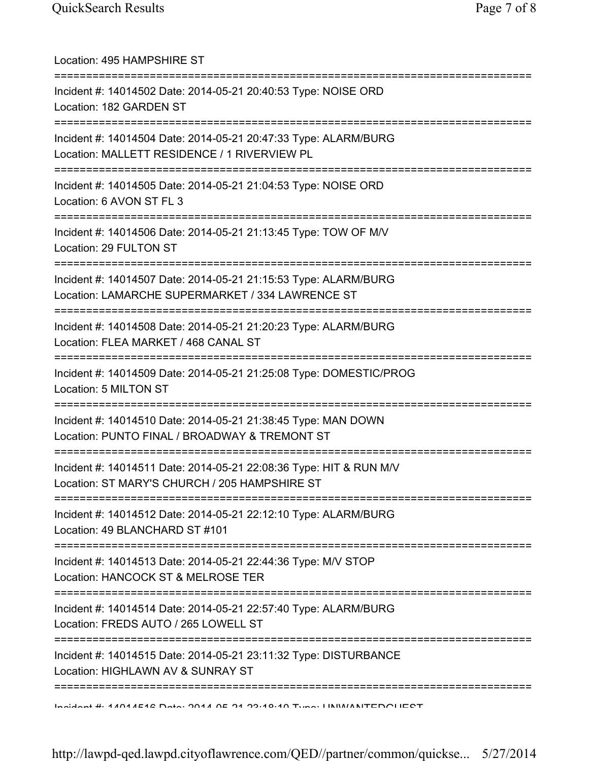| Location: 495 HAMPSHIRE ST                                                                                          |
|---------------------------------------------------------------------------------------------------------------------|
| Incident #: 14014502 Date: 2014-05-21 20:40:53 Type: NOISE ORD<br>Location: 182 GARDEN ST<br>-------------          |
| Incident #: 14014504 Date: 2014-05-21 20:47:33 Type: ALARM/BURG<br>Location: MALLETT RESIDENCE / 1 RIVERVIEW PL     |
| Incident #: 14014505 Date: 2014-05-21 21:04:53 Type: NOISE ORD<br>Location: 6 AVON ST FL 3                          |
| Incident #: 14014506 Date: 2014-05-21 21:13:45 Type: TOW OF M/V<br>Location: 29 FULTON ST                           |
| Incident #: 14014507 Date: 2014-05-21 21:15:53 Type: ALARM/BURG<br>Location: LAMARCHE SUPERMARKET / 334 LAWRENCE ST |
| Incident #: 14014508 Date: 2014-05-21 21:20:23 Type: ALARM/BURG<br>Location: FLEA MARKET / 468 CANAL ST             |
| Incident #: 14014509 Date: 2014-05-21 21:25:08 Type: DOMESTIC/PROG<br>Location: 5 MILTON ST                         |
| Incident #: 14014510 Date: 2014-05-21 21:38:45 Type: MAN DOWN<br>Location: PUNTO FINAL / BROADWAY & TREMONT ST      |
| Incident #: 14014511 Date: 2014-05-21 22:08:36 Type: HIT & RUN M/V<br>Location: ST MARY'S CHURCH / 205 HAMPSHIRE ST |
| Incident #: 14014512 Date: 2014-05-21 22:12:10 Type: ALARM/BURG<br>Location: 49 BLANCHARD ST #101                   |
| Incident #: 14014513 Date: 2014-05-21 22:44:36 Type: M/V STOP<br>Location: HANCOCK ST & MELROSE TER                 |
| Incident #: 14014514 Date: 2014-05-21 22:57:40 Type: ALARM/BURG<br>Location: FREDS AUTO / 265 LOWELL ST             |
| Incident #: 14014515 Date: 2014-05-21 23:11:32 Type: DISTURBANCE<br>Location: HIGHLAWN AV & SUNRAY ST               |
| Incident #: 44044E42 Dota: 0044 0E 04 00:40:40 Tune: HABA/ANITEDOHIECT                                              |